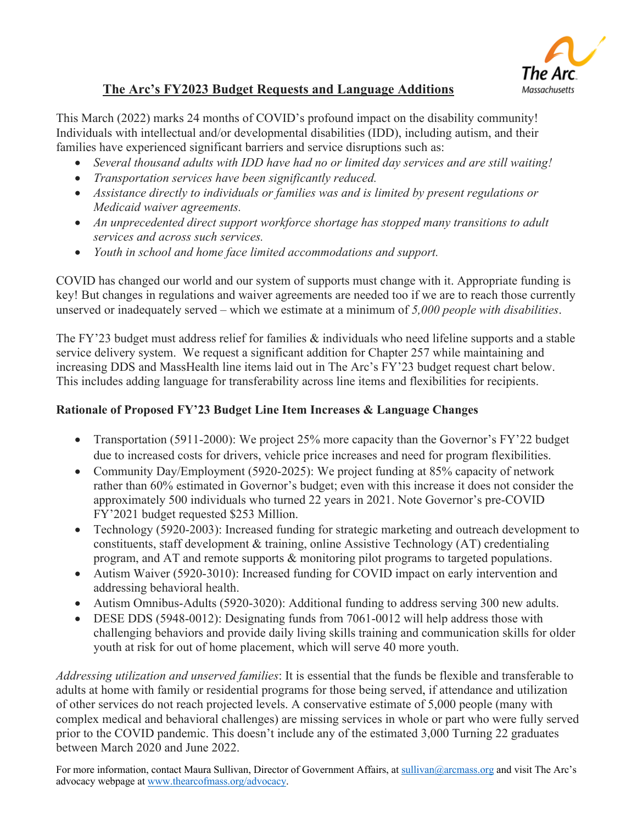

## **The Arc's FY2023 Budget Requests and Language Additions**

This March (2022) marks 24 months of COVID's profound impact on the disability community! Individuals with intellectual and/or developmental disabilities (IDD), including autism, and their families have experienced significant barriers and service disruptions such as:

- *Several thousand adults with IDD have had no or limited day services and are still waiting!*
- *Transportation services have been significantly reduced.*
- *Assistance directly to individuals or families was and is limited by present regulations or Medicaid waiver agreements.*
- *An unprecedented direct support workforce shortage has stopped many transitions to adult services and across such services.*
- *Youth in school and home face limited accommodations and support.*

COVID has changed our world and our system of supports must change with it. Appropriate funding is key! But changes in regulations and waiver agreements are needed too if we are to reach those currently unserved or inadequately served – which we estimate at a minimum of *5,000 people with disabilities*.

The FY'23 budget must address relief for families & individuals who need lifeline supports and a stable service delivery system. We request a significant addition for Chapter 257 while maintaining and increasing DDS and MassHealth line items laid out in The Arc's FY'23 budget request chart below. This includes adding language for transferability across line items and flexibilities for recipients.

## **Rationale of Proposed FY'23 Budget Line Item Increases & Language Changes**

- Transportation (5911-2000): We project 25% more capacity than the Governor's FY'22 budget due to increased costs for drivers, vehicle price increases and need for program flexibilities.
- Community Day/Employment (5920-2025): We project funding at 85% capacity of network rather than 60% estimated in Governor's budget; even with this increase it does not consider the approximately 500 individuals who turned 22 years in 2021. Note Governor's pre-COVID FY'2021 budget requested \$253 Million.
- Technology (5920-2003): Increased funding for strategic marketing and outreach development to constituents, staff development & training, online Assistive Technology (AT) credentialing program, and AT and remote supports & monitoring pilot programs to targeted populations.
- Autism Waiver (5920-3010): Increased funding for COVID impact on early intervention and addressing behavioral health.
- Autism Omnibus-Adults (5920-3020): Additional funding to address serving 300 new adults.
- DESE DDS (5948-0012): Designating funds from 7061-0012 will help address those with challenging behaviors and provide daily living skills training and communication skills for older youth at risk for out of home placement, which will serve 40 more youth.

*Addressing utilization and unserved families*: It is essential that the funds be flexible and transferable to adults at home with family or residential programs for those being served, if attendance and utilization of other services do not reach projected levels. A conservative estimate of 5,000 people (many with complex medical and behavioral challenges) are missing services in whole or part who were fully served prior to the COVID pandemic. This doesn't include any of the estimated 3,000 Turning 22 graduates between March 2020 and June 2022.

For more information, contact Maura Sullivan, Director of Government Affairs, at sullivan@arcmass.org and visit The Arc's advocacy webpage at www.thearcofmass.org/advocacy.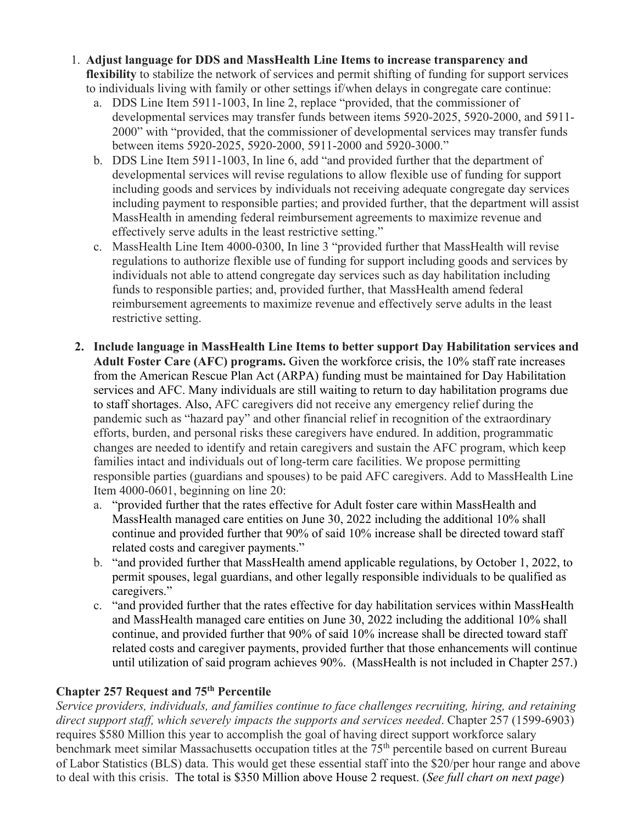- 1. **Adjust language for DDS and MassHealth Line Items to increase transparency and flexibility** to stabilize the network of services and permit shifting of funding for support services to individuals living with family or other settings if/when delays in congregate care continue:
	- a. DDS Line Item 5911-1003, In line 2, replace "provided, that the commissioner of developmental services may transfer funds between items 5920-2025, 5920-2000, and 5911- 2000" with "provided, that the commissioner of developmental services may transfer funds between items 5920-2025, 5920-2000, 5911-2000 and 5920-3000."
	- b. DDS Line Item 5911-1003, In line 6, add "and provided further that the department of developmental services will revise regulations to allow flexible use of funding for support including goods and services by individuals not receiving adequate congregate day services including payment to responsible parties; and provided further, that the department will assist MassHealth in amending federal reimbursement agreements to maximize revenue and effectively serve adults in the least restrictive setting."
	- c. MassHealth Line Item 4000-0300, In line 3 "provided further that MassHealth will revise regulations to authorize flexible use of funding for support including goods and services by individuals not able to attend congregate day services such as day habilitation including funds to responsible parties; and, provided further, that MassHealth amend federal reimbursement agreements to maximize revenue and effectively serve adults in the least restrictive setting.
- **2. Include language in MassHealth Line Items to better support Day Habilitation services and Adult Foster Care (AFC) programs.** Given the workforce crisis, the 10% staff rate increases from the American Rescue Plan Act (ARPA) funding must be maintained for Day Habilitation services and AFC. Many individuals are still waiting to return to day habilitation programs due to staff shortages. Also, AFC caregivers did not receive any emergency relief during the pandemic such as "hazard pay" and other financial relief in recognition of the extraordinary efforts, burden, and personal risks these caregivers have endured. In addition, programmatic changes are needed to identify and retain caregivers and sustain the AFC program, which keep families intact and individuals out of long-term care facilities. We propose permitting responsible parties (guardians and spouses) to be paid AFC caregivers. Add to MassHealth Line Item 4000-0601, beginning on line 20:
	- a. "provided further that the rates effective for Adult foster care within MassHealth and MassHealth managed care entities on June 30, 2022 including the additional 10% shall continue and provided further that 90% of said 10% increase shall be directed toward staff related costs and caregiver payments."
	- b. "and provided further that MassHealth amend applicable regulations, by October 1, 2022, to permit spouses, legal guardians, and other legally responsible individuals to be qualified as caregivers."
	- c. "and provided further that the rates effective for day habilitation services within MassHealth and MassHealth managed care entities on June 30, 2022 including the additional 10% shall continue, and provided further that 90% of said 10% increase shall be directed toward staff related costs and caregiver payments, provided further that those enhancements will continue until utilization of said program achieves 90%. (MassHealth is not included in Chapter 257.)

## **Chapter 257 Request and 75th Percentile**

*Service providers, individuals, and families continue to face challenges recruiting, hiring, and retaining direct support staff, which severely impacts the supports and services needed*. Chapter 257 (1599-6903) requires \$580 Million this year to accomplish the goal of having direct support workforce salary benchmark meet similar Massachusetts occupation titles at the 75<sup>th</sup> percentile based on current Bureau of Labor Statistics (BLS) data. This would get these essential staff into the \$20/per hour range and above to deal with this crisis. The total is \$350 Million above House 2 request. (*See full chart on next page*)